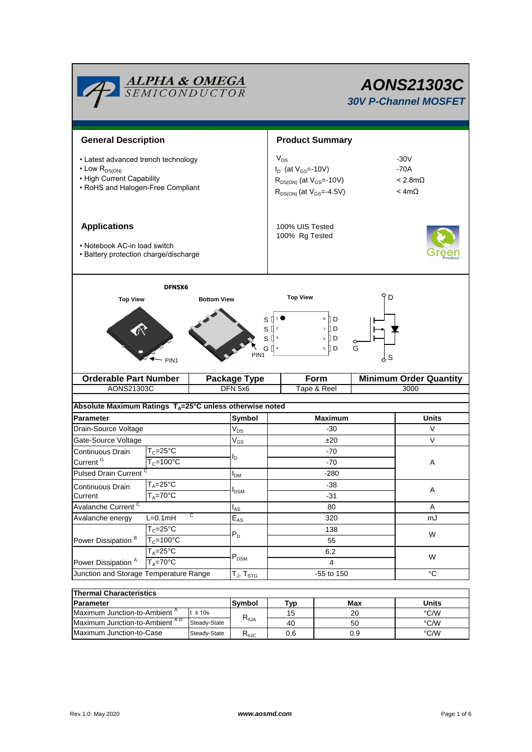

# *AONS21303C 30V P-Channel MOSFET*

| <b>General Description</b>                                                                                                               |                       |                    |                                       | <b>Product Summary</b>                     |                                                                                                      |                                                    |                               |  |
|------------------------------------------------------------------------------------------------------------------------------------------|-----------------------|--------------------|---------------------------------------|--------------------------------------------|------------------------------------------------------------------------------------------------------|----------------------------------------------------|-------------------------------|--|
| • Latest advanced trench technology<br>$\cdot$ Low R <sub>DS(ON)</sub><br>• High Current Capability<br>• RoHS and Halogen-Free Compliant |                       |                    |                                       | $V_{DS}$                                   | $I_D$ (at $V_{GS}$ =-10V)<br>$R_{DS(ON)}$ (at $V_{GS}$ =-10V)<br>$R_{DS(ON)}$ (at $V_{GS} = -4.5V$ ) | $-30V$<br>$-70A$<br>$< 2.8m\Omega$<br>$< 4m\Omega$ |                               |  |
| <b>Applications</b><br>• Notebook AC-in load switch<br>• Battery protection charge/discharge                                             |                       |                    |                                       | 100% UIS Tested<br>100% Rg Tested          |                                                                                                      |                                                    |                               |  |
|                                                                                                                                          | DFN5X6                |                    |                                       |                                            |                                                                                                      |                                                    |                               |  |
| <b>Top View</b>                                                                                                                          |                       | <b>Bottom View</b> |                                       |                                            | <b>Top View</b>                                                                                      | D                                                  |                               |  |
|                                                                                                                                          | PIN <sub>1</sub>      |                    | S<br>S<br>PIN <sub>1</sub>            | $\prod 2$<br>$S^{[]3}$<br>$G \mathbb{I}^4$ | 8<br>[] D<br>ПD<br>$\overline{7}$<br>∏ D<br>6<br>$\mathbb{D}$<br>5                                   | G<br>S<br>კ                                        |                               |  |
| <b>Orderable Part Number</b>                                                                                                             |                       |                    | <b>Package Type</b>                   | Form                                       |                                                                                                      |                                                    | <b>Minimum Order Quantity</b> |  |
|                                                                                                                                          | AONS21303C            |                    |                                       | DFN 5x6<br>Tape & Reel                     |                                                                                                      |                                                    |                               |  |
|                                                                                                                                          |                       |                    |                                       |                                            |                                                                                                      |                                                    | 3000                          |  |
| Absolute Maximum Ratings $T_A = 25^\circ C$ unless otherwise noted                                                                       |                       |                    |                                       |                                            |                                                                                                      |                                                    |                               |  |
| <b>Parameter</b>                                                                                                                         |                       |                    | Symbol                                |                                            | <b>Maximum</b>                                                                                       |                                                    | <b>Units</b>                  |  |
| Drain-Source Voltage                                                                                                                     |                       |                    | $V_{DS}$                              |                                            | $-30$                                                                                                |                                                    | V                             |  |
| Gate-Source Voltage                                                                                                                      |                       |                    | $V_{GS}$                              |                                            | ±20                                                                                                  |                                                    | $\vee$                        |  |
| Continuous Drain                                                                                                                         | $T_c = 25$ °C         |                    |                                       |                                            | -70                                                                                                  |                                                    |                               |  |
| Current <sup>G</sup>                                                                                                                     | $T_c = 100^{\circ}C$  |                    | ΙD                                    |                                            | -70                                                                                                  |                                                    | Α                             |  |
| <b>Pulsed Drain Current</b>                                                                                                              |                       |                    | I <sub>DM</sub>                       |                                            | $-280$                                                                                               |                                                    |                               |  |
| Continuous Drain                                                                                                                         | $T_A = 25$ °C         |                    |                                       |                                            | -38                                                                                                  |                                                    | Α                             |  |
| Current                                                                                                                                  | $T_A = 70^\circ C$    |                    | I <sub>DSM</sub>                      |                                            | -31                                                                                                  |                                                    |                               |  |
| Avalanche Current <sup>C</sup>                                                                                                           |                       |                    | l <sub>AS</sub>                       |                                            | 80                                                                                                   |                                                    | Α                             |  |
| Avalanche energy                                                                                                                         | C<br>$L=0.1$ mH       |                    | $E_{AS}$                              |                                            | 320                                                                                                  |                                                    | mJ                            |  |
|                                                                                                                                          | $T_c = 25^{\circ}$ C  |                    | $P_D$                                 |                                            | 138                                                                                                  |                                                    | W                             |  |
| Power Dissipation <sup>B</sup>                                                                                                           | $T_c = 100^{\circ}$ C |                    |                                       |                                            | 55                                                                                                   |                                                    |                               |  |
|                                                                                                                                          | $T_A = 25$ °C         |                    | $P_{DSM}$                             |                                            | 6.2                                                                                                  |                                                    | W                             |  |
|                                                                                                                                          | $T_A = 70^\circ C$    |                    |                                       |                                            | $\overline{4}$                                                                                       |                                                    |                               |  |
| Power Dissipation <sup>A</sup><br>Junction and Storage Temperature Range                                                                 |                       |                    | ${\sf T_{\sf J}},\,{\sf T_{\sf STG}}$ |                                            | -55 to 150                                                                                           |                                                    | $^{\circ}C$                   |  |

| Thermal Unaracteristics                  |              |                                   |     |       |      |  |  |
|------------------------------------------|--------------|-----------------------------------|-----|-------|------|--|--|
| <b>Parameter</b>                         | lSvmbol      | Tvp                               | Max | Units |      |  |  |
| Maximum Junction-to-Ambient <sup>A</sup> | ≤ 10s        | $\mathsf{R}_{\theta \mathsf{JA}}$ | 15  | 20    | °C/W |  |  |
| Maximum Junction-to-Ambient AD           | Steady-State |                                   | 40  | 50    | °C/W |  |  |
| Maximum Junction-to-Case                 | Steady-State | D<br>YeJC                         | 0.6 | 0.9   | °C/W |  |  |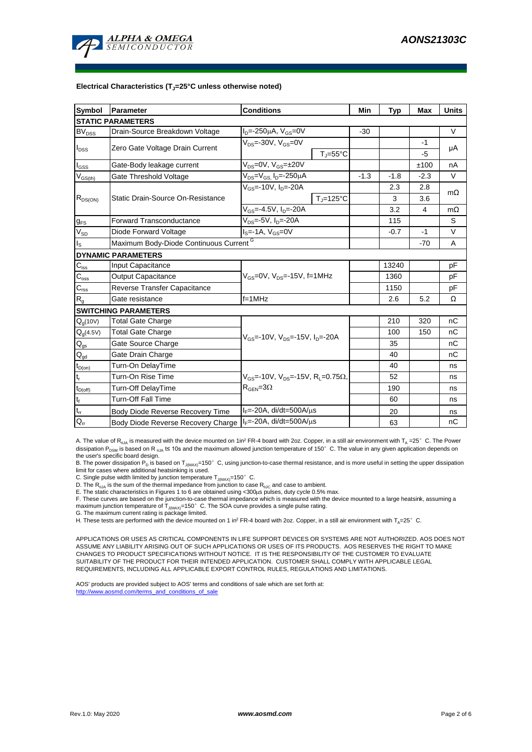

#### **Electrical Characteristics (TJ=25°C unless otherwise noted)**

| <b>Symbol</b>                  | <b>Parameter</b>                                           | <b>Conditions</b>                                                  | Min    | <b>Typ</b> | <b>Max</b> | <b>Units</b> |  |  |
|--------------------------------|------------------------------------------------------------|--------------------------------------------------------------------|--------|------------|------------|--------------|--|--|
| <b>STATIC PARAMETERS</b>       |                                                            |                                                                    |        |            |            |              |  |  |
| $BV_{DSS}$                     | Drain-Source Breakdown Voltage                             | $I_{D} = 250 \mu A$ , $V_{GS} = 0V$                                | $-30$  |            |            | $\vee$       |  |  |
|                                | Zero Gate Voltage Drain Current                            | $V_{DS}$ = 30V, $V_{GS}$ =0V                                       |        |            | $-1$       | μA           |  |  |
| $I_{DSS}$                      |                                                            | $T_{\parallel} = 55^{\circ}$ C                                     |        |            | $-5$       |              |  |  |
| l <sub>GSS</sub>               | Gate-Body leakage current                                  | $\overline{V_{DS}} = 0V$ , $V_{GS} = \pm 20V$                      |        |            | ±100       | nA           |  |  |
| $\mathsf{V}_{\mathsf{GS(th)}}$ | Gate Threshold Voltage                                     | $V_{DS} = V_{GS}$ , $I_D = -250 \mu A$                             | $-1.3$ | $-1.8$     | $-2.3$     | $\vee$       |  |  |
|                                |                                                            | $V_{GS}$ = 10V, $I_{D}$ = 20A                                      |        | 2.3        | 2.8        |              |  |  |
| $R_{DS(ON)}$                   | Static Drain-Source On-Resistance                          | $T_{\rm J}$ =125°C                                                 |        | 3          | 3.6        | $m\Omega$    |  |  |
|                                |                                                            | $V_{GS} = -4.5V$ , $I_{D} = -20A$                                  |        | 3.2        | 4          | $m\Omega$    |  |  |
| $g_{FS}$                       | <b>Forward Transconductance</b>                            | $V_{DS} = 5V$ , $I_{D} = 20A$                                      |        | 115        |            | S            |  |  |
| $V_{SD}$                       | Diode Forward Voltage                                      | $IS=-1A, VGS=0V$                                                   |        | $-0.7$     | $-1$       | $\vee$       |  |  |
| $I_{\rm S}$                    | Maximum Body-Diode Continuous Current G                    |                                                                    |        |            | $-70$      | A            |  |  |
|                                | <b>DYNAMIC PARAMETERS</b>                                  |                                                                    |        |            |            |              |  |  |
| $C_{\text{iss}}$               | Input Capacitance                                          |                                                                    |        | 13240      |            | pF           |  |  |
| $C_{\rm oss}$                  | <b>Output Capacitance</b>                                  | $V_{\text{GS}}$ =0V, $V_{\text{DS}}$ =-15V, f=1MHz                 |        | 1360       |            | рF           |  |  |
| $C_{\text{rss}}$               | Reverse Transfer Capacitance                               |                                                                    |        | 1150       |            | рF           |  |  |
| $\mathsf{R}_{\mathsf{g}}$      | Gate resistance                                            | $f = 1$ MHz                                                        |        | 2.6        | 5.2        | Ω            |  |  |
|                                | <b>SWITCHING PARAMETERS</b>                                |                                                                    |        |            |            |              |  |  |
| $Q_q(10V)$                     | Total Gate Charge                                          |                                                                    |        | 210        | 320        | nC           |  |  |
| $Q_q(4.5V)$                    | <b>Total Gate Charge</b>                                   | $V_{\text{GS}}$ =-10V, $V_{\text{DS}}$ =-15V, $I_{\text{D}}$ =-20A |        | 100        | 150        | nC           |  |  |
| $Q_{gs}$                       | Gate Source Charge                                         |                                                                    |        | 35         |            | пC           |  |  |
| $\mathsf{Q}_{\text{gd}}$       | Gate Drain Charge                                          |                                                                    |        | 40         |            | nС           |  |  |
| $t_{D(on)}$                    | Turn-On DelayTime                                          |                                                                    |        | 40         |            | ns           |  |  |
| $t_{r}$                        | Turn-On Rise Time                                          | $V_{GS}$ = 10V, $V_{DS}$ = 15V, R <sub>L</sub> =0.75 $\Omega$ ,    |        | 52         |            | ns           |  |  |
| $t_{D(off)}$                   | <b>Turn-Off DelayTime</b>                                  | $R_{\text{GEN}} = 3\Omega$                                         |        | 190        |            | ns           |  |  |
| $\mathsf{t}_{\mathsf{f}}$      | <b>Turn-Off Fall Time</b>                                  |                                                                    |        | 60         |            | ns           |  |  |
| $\mathsf{t}_{\mathsf{rr}}$     | Body Diode Reverse Recovery Time                           | $I_F$ =-20A, di/dt=500A/ $\mu$ s                                   |        | 20         |            | ns           |  |  |
| $Q_{rr}$                       | Body Diode Reverse Recovery Charge   F=-20A, di/dt=500A/µs |                                                                    |        | 63         |            | nC           |  |  |

A. The value of R<sub>BJA</sub> is measured with the device mounted on 1in<sup>2</sup> FR-4 board with 2oz. Copper, in a still air environment with T<sub>A</sub> =25°C. The Power dissipation P<sub>DSM</sub> is based on R <sub>0JA</sub> t≤ 10s and the maximum allowed junction temperature of 150°C. The value in any given application depends on the user's specific board design.

B. The power dissipation P<sub>D</sub> is based on T<sub>J(MAX)</sub>=150°C, using junction-to-case thermal resistance, and is more useful in setting the upper dissipation limit for cases where additional heatsinking is used.

C. Single pulse width limited by junction temperature  $T_{J(MAX)}$ =150°C.

D. The  $R_{\theta JA}$  is the sum of the thermal impedance from junction to case  $R_{\theta JC}$  and case to ambient.

E. The static characteristics in Figures 1 to 6 are obtained using <300µs pulses, duty cycle 0.5% max.<br>F. These curves are based on the junction-to-case thermal impedance which is measured with the device mounted to a lar maximum junction temperature of  $T_{J(MAX)}$ =150°C. The SOA curve provides a single pulse rating.

G. The maximum current rating is package limited.

H. These tests are performed with the device mounted on 1 in<sup>2</sup> FR-4 board with 2oz. Copper, in a still air environment with T<sub>A</sub>=25°C.

APPLICATIONS OR USES AS CRITICAL COMPONENTS IN LIFE SUPPORT DEVICES OR SYSTEMS ARE NOT AUTHORIZED. AOS DOES NOT ASSUME ANY LIABILITY ARISING OUT OF SUCH APPLICATIONS OR USES OF ITS PRODUCTS. AOS RESERVES THE RIGHT TO MAKE CHANGES TO PRODUCT SPECIFICATIONS WITHOUT NOTICE. IT IS THE RESPONSIBILITY OF THE CUSTOMER TO EVALUATE SUITABILITY OF THE PRODUCT FOR THEIR INTENDED APPLICATION. CUSTOMER SHALL COMPLY WITH APPLICABLE LEGAL REQUIREMENTS, INCLUDING ALL APPLICABLE EXPORT CONTROL RULES, REGULATIONS AND LIMITATIONS.

AOS' products are provided subject to AOS' terms and conditions of sale which are set forth at: http://www.aosmd.com/terms\_and\_conditions\_of\_sale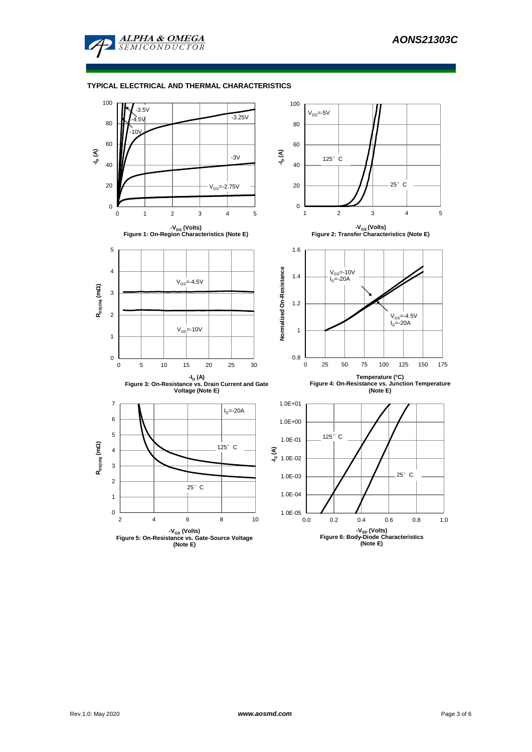

## **TYPICAL ELECTRICAL AND THERMAL CHARACTERISTICS**

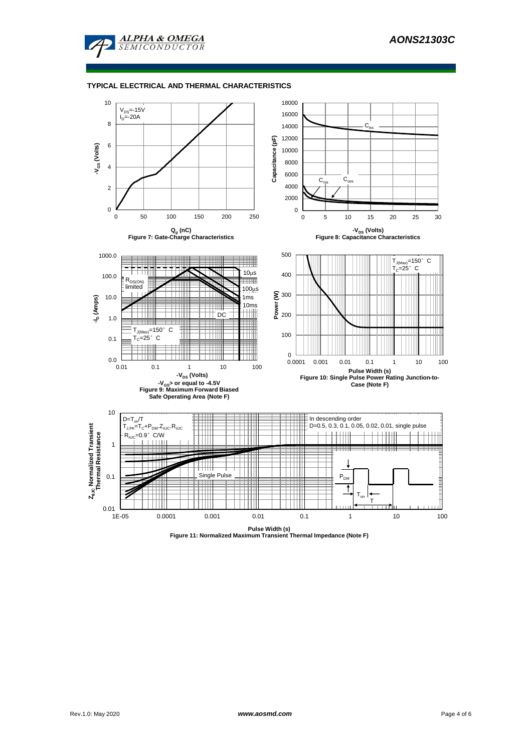

#### **TYPICAL ELECTRICAL AND THERMAL CHARACTERISTICS**



**Pulse Width (s) Figure 11: Normalized Maximum Transient Thermal Impedance (Note F)**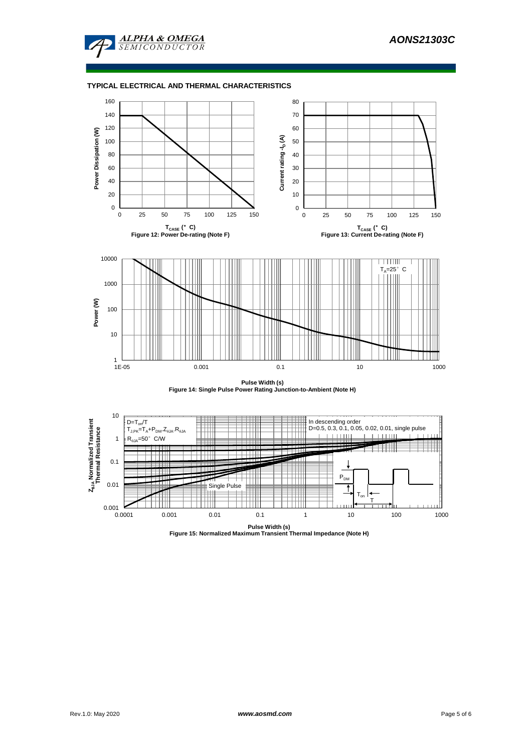

#### **TYPICAL ELECTRICAL AND THERMAL CHARACTERISTICS**





**Pulse Width (s) Figure 15: Normalized Maximum Transient Thermal Impedance (Note H)**